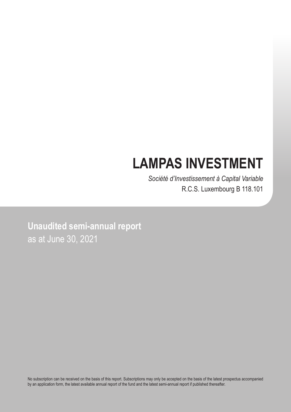# **LAMPAS INVESTMENT**

*Société d'Investissement à Capital Variable* R.C.S. Luxembourg B 118.101

**Unaudited semi-annual report** as at June 30, 2021

No subscription can be received on the basis of this report. Subscriptions may only be accepted on the basis of the latest prospectus accompanied by an application form, the latest available annual report of the fund and the latest semi-annual report if published thereafter.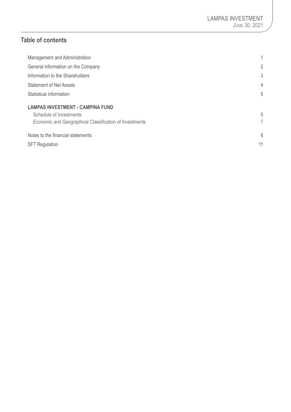# **Table of contents**

| Management and Administration                           | 1              |
|---------------------------------------------------------|----------------|
| General information on the Company                      | 2              |
| Information to the Shareholders                         | 3              |
| <b>Statement of Net Assets</b>                          | $\overline{4}$ |
| Statistical information                                 | 5              |
| <b>LAMPAS INVESTMENT - CAMPINA FUND</b>                 |                |
| Schedule of Investments                                 | 6              |
| Economic and Geographical Classification of Investments | 7              |
| Notes to the financial statements                       | 8              |
| <b>SFT Regulation</b>                                   | 11             |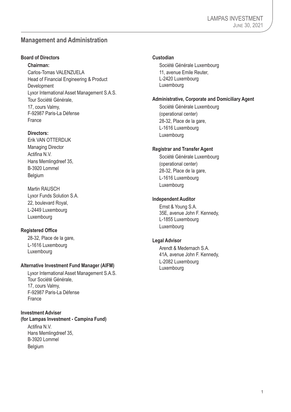## <span id="page-2-0"></span>**Management and Administration**

## **Board of Directors**

**Chairman:** Carlos-Tomas VALENZUELA Head of Financial Engineering & Product Development Lyxor International Asset Management S.A.S. Tour Société Générale, 17, cours Valmy,

France

## **Directors:**

Erik VAN OTTERDIJK Managing Director Actifina N.V. Hans Memlingdreef 35, B-3920 Lommel Belgium

F-92987 Paris-La Défense

Martin RAUSCH Lyxor Funds Solution S.A. 22, boulevard Royal, L-2449 Luxembourg Luxembourg

## **Registered Office**

28-32, Place de la gare, L-1616 Luxembourg Luxembourg

### **Alternative Investment Fund Manager (AIFM)**

Lyxor International Asset Management S.A.S. Tour Société Générale, 17, cours Valmy, F-92987 Paris-La Défense France

### **Investment Adviser**

**(for Lampas Investment - Campina Fund)**

Actifina N.V. Hans Memlingdreef 35, B-3920 Lommel Belgium

### **Custodian**

Société Générale Luxembourg 11, avenue Emile Reuter, L-2420 Luxembourg Luxembourg

#### **Administrative, Corporate and Domiciliary Agent**

Société Générale Luxembourg (operational center) 28-32, Place de la gare, L-1616 Luxembourg Luxembourg

#### **Registrar and Transfer Agent**

Société Générale Luxembourg (operational center) 28-32, Place de la gare, L-1616 Luxembourg Luxembourg

#### **Independent Auditor**

Ernst & Young S.A. 35E, avenue John F. Kennedy, L-1855 Luxembourg Luxembourg

## **Legal Advisor**

Arendt & Medernach S.A. 41A, avenue John F. Kennedy, L-2082 Luxembourg Luxembourg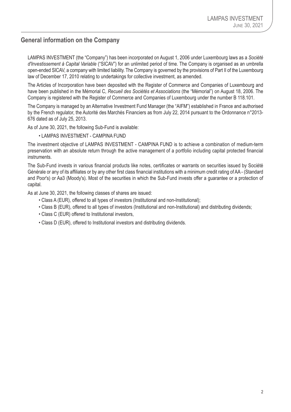## <span id="page-3-0"></span>**General information on the Company**

LAMPAS INVESTMENT (the "Company") has been incorporated on August 1, 2006 under Luxembourg laws as a *Société d'Investissement à Capital Variable* ("SICAV") for an unlimited period of time. The Company is organised as an umbrella open-ended SICAV, a company with limited liability. The Company is governed by the provisions of Part II of the Luxembourg law of December 17, 2010 relating to undertakings for collective investment, as amended.

The Articles of Incorporation have been deposited with the Register of Commerce and Companies of Luxembourg and have been published in the Mémorial C, *Recueil des Sociétés et Associations* (the "Mémorial") on August 18, 2006. The Company is registered with the Register of Commerce and Companies of Luxembourg under the number B 118.101.

The Company is managed by an Alternative Investment Fund Manager (the "AIFM") established in France and authorised by the French regulator, the Autorité des Marchés Financiers as from July 22, 2014 pursuant to the Ordonnance n°2013- 676 dated as of July 25, 2013.

As of June 30, 2021, the following Sub-Fund is available:

• LAMPAS INVESTMENT - CAMPINA FUND

The investment objective of LAMPAS INVESTMENT - CAMPINA FUND is to achieve a combination of medium-term preservation with an absolute return through the active management of a portfolio including capital protected financial instruments.

The Sub-Fund invests in various financial products like notes, certificates or warrants on securities issued by Société Générale or any of its affiliates or by any other first class financial institutions with a minimum credit rating of AA - (Standard and Poor's) or Aa3 (Moody's). Most of the securities in which the Sub-Fund invests offer a guarantee or a protection of capital.

As at June 30, 2021, the following classes of shares are issued:

- Class A (EUR), offered to all types of investors (Institutional and non-Institutional);
- Class B (EUR), offered to all types of investors (Institutional and non-Institutional) and distributing dividends;
- Class C (EUR) offered to Institutional investors,
- Class D (EUR), offered to Institutional investors and distributing dividends.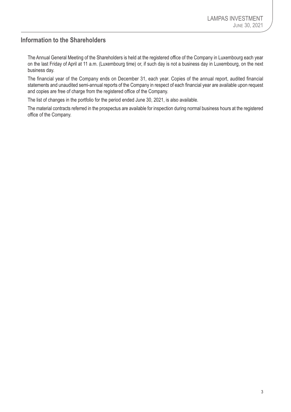## <span id="page-4-0"></span>**Information to the Shareholders**

The Annual General Meeting of the Shareholders is held at the registered office of the Company in Luxembourg each year on the last Friday of April at 11 a.m. (Luxembourg time) or, if such day is not a business day in Luxembourg, on the next business day.

The financial year of the Company ends on December 31, each year. Copies of the annual report, audited financial statements and unaudited semi-annual reports of the Company in respect of each financial year are available upon request and copies are free of charge from the registered office of the Company.

The list of changes in the portfolio for the period ended June 30, 2021, is also available.

The material contracts referred in the prospectus are available for inspection during normal business hours at the registered office of the Company.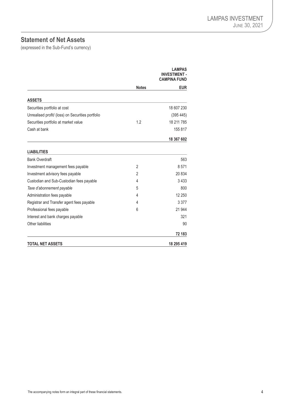# <span id="page-5-0"></span>**Statement of Net Assets**

(expressed in the Sub-Fund's currency)

|                                                   |                | I AMPAS<br><b>INVESTMENT -</b><br><b>CAMPINA FUND</b> |
|---------------------------------------------------|----------------|-------------------------------------------------------|
|                                                   | <b>Notes</b>   | <b>EUR</b>                                            |
| <b>ASSETS</b>                                     |                |                                                       |
| Securities portfolio at cost                      |                | 18 607 230                                            |
| Unrealised profit/ (loss) on Securities portfolio |                | (395445)                                              |
| Securities portfolio at market value              | 1.2            | 18 211 785                                            |
| Cash at bank                                      |                | 155 817                                               |
|                                                   |                | 18 367 602                                            |
| <b>LIABILITIES</b>                                |                |                                                       |
| <b>Bank Overdraft</b>                             |                | 563                                                   |
| Investment management fees payable                | $\overline{2}$ | 8571                                                  |
| Investment advisory fees payable                  | 2              | 20834                                                 |
| Custodian and Sub-Custodian fees payable          | 4              | 3433                                                  |
| Taxe d'abonnement payable                         | 5              | 800                                                   |
| Administration fees payable                       | 4              | 12 250                                                |
| Registrar and Transfer agent fees payable         | 4              | 3 3 7 7                                               |
| Professional fees payable                         | 6              | 21 944                                                |
| Interest and bank charges payable                 |                | 321                                                   |
| Other liabilities                                 |                | 90                                                    |
|                                                   |                | 72 183                                                |
| <b>TOTAL NET ASSETS</b>                           |                | 18 295 419                                            |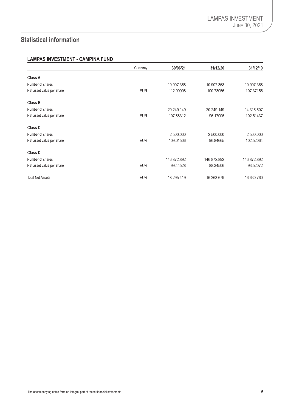# <span id="page-6-0"></span>**Statistical information**

## **LAMPAS INVESTMENT - CAMPINA FUND**

|                           | Currency   | 30/06/21    | 31/12/20    | 31/12/19    |
|---------------------------|------------|-------------|-------------|-------------|
| <b>Class A</b>            |            |             |             |             |
| Number of shares          |            | 10 907.368  | 10 907.368  | 10 907.368  |
| Net asset value per share | <b>EUR</b> | 112.99908   | 100.73056   | 107.37156   |
| <b>Class B</b>            |            |             |             |             |
| Number of shares          |            | 20 249.149  | 20 249.149  | 14 316,607  |
| Net asset value per share | <b>EUR</b> | 107.88312   | 96.17005    | 102.51437   |
| <b>Class C</b>            |            |             |             |             |
| Number of shares          |            | 2 500,000   | 2 500,000   | 2 500,000   |
| Net asset value per share | <b>EUR</b> | 109.01506   | 96.84665    | 102.52064   |
| <b>Class D</b>            |            |             |             |             |
| Number of shares          |            | 146 872.892 | 146 872.892 | 146 872.892 |
| Net asset value per share | <b>EUR</b> | 99.44528    | 88.34506    | 93.52072    |
| <b>Total Net Assets</b>   | <b>EUR</b> | 18 295 419  | 16 263 679  | 16 630 760  |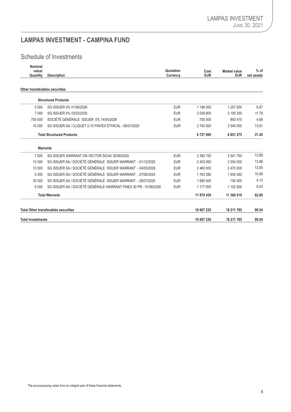# <span id="page-7-0"></span>**LAMPAS INVESTMENT - CAMPINA FUND**

# Schedule of Investments

| Nominal<br>value/<br>Quantity  | <b>Description</b>                                               | Quotation<br>Currency | Cost<br><b>EUR</b> | <b>Market value</b><br><b>EUR</b> | $%$ of<br>net assets |
|--------------------------------|------------------------------------------------------------------|-----------------------|--------------------|-----------------------------------|----------------------|
| Other transferables securities |                                                                  |                       |                    |                                   |                      |
|                                | <b>Structured Products</b>                                       |                       |                    |                                   |                      |
| 5 0 0 0                        | SG ISSUER 0% 01/06/2026                                          | <b>EUR</b>            | 1 198 000          | 1 257 500                         | 6.87                 |
| 7 0 0 0                        | SG ISSUER 0% 03/03/2025                                          | <b>EUR</b>            | 2 039 800          | 2 155 300                         | 11.79                |
| 750 000                        | SOCIÉTÉ GÉNÉRALE ISSUER 0% 14/04/2026                            | <b>EUR</b>            | 750 000            | 893 475                           | 4.88                 |
| 10 000                         | SG ISSUER SA / CLIQUET 2-10 FINVEX ETHICAL - 06/01/2025          | <b>EUR</b>            | 2 740 000          | 2 545 000                         | 13.91                |
|                                | <b>Total Structured Products</b>                                 |                       | 6727800            | 6851275                           | 37.45                |
|                                | <b>Warrants</b>                                                  |                       |                    |                                   |                      |
| 7 500                          | SG ISSUER WARRANT ON VECTOR SICAV 30/08/2025                     | <b>EUR</b>            | 2 390 750          | 2 541 750                         | 13.89                |
| 10 000                         | SG ISSUER SA / SOCIÉTÉ GÉNÉRALE ISSUER WARRANT - 01/12/2025      | <b>EUR</b>            | 2 403 000          | 2 554 000                         | 13.96                |
| 10 000                         | SG ISSUER SA / SOCIÉTÉ GÉNÉRALE ISSUER WARRANT - 04/05/2026      | <b>EUR</b>            | 2 460 000          | 2 470 000                         | 13.50                |
| 9 3 0 0                        | SG ISSUER SA / SOCIÉTÉ GÉNÉRALE ISSUER WARRANT - 27/06/2024      | <b>EUR</b>            | 1763280            | 1936 260                          | 10.58                |
| 30 000                         | SG ISSUER SA / SOCIÉTÉ GÉNÉRALE ISSUER WARRANT - 28/07/2025      | <b>EUR</b>            | 1685400            | 756 000                           | 4.13                 |
| 5 0 0 0                        | SG ISSUER SA / SOCIÉTÉ GÉNÉRALE WARRANT FINEX 30 PR - 31/08/2026 | <b>EUR</b>            | 1 177 000          | 1 102 500                         | 6.03                 |
|                                | <b>Total Warrants</b>                                            |                       | 11 879 430         | 11 360 510                        | 62.09                |
|                                | <b>Total Other transferables securities</b>                      |                       | 18 607 230         | 18 211 785                        | 99.54                |
| <b>Total Investments</b>       |                                                                  |                       | 18 607 230         | 18 211 785                        | 99.54                |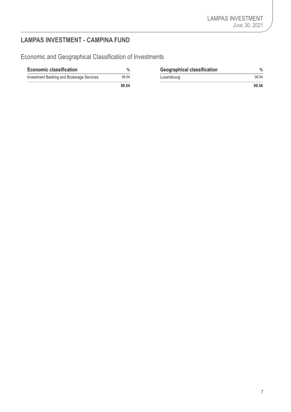# <span id="page-8-0"></span>**LAMPAS INVESTMENT - CAMPINA FUND**

Economic and Geographical Classification of Investments

| <b>Economic classification</b>            | $\%$  | <b>Geographical classification</b> | $\frac{0}{0}$ |
|-------------------------------------------|-------|------------------------------------|---------------|
| Investment Banking and Brokerage Services | 99.54 | Luxembourg                         | 99.54         |
|                                           | 99.54 |                                    | 99.54         |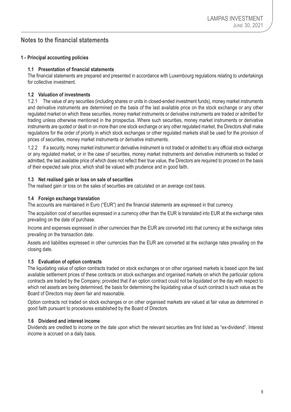## <span id="page-9-0"></span>**Notes to the financial statements**

## **1 - Principal accounting policies**

## **1.1 Presentation of financial statements**

The financial statements are prepared and presented in accordance with Luxembourg regulations relating to undertakings for collective investment.

## **1.2 Valuation of investments**

1.2.1 The value of any securities (including shares or units in closed-ended investment funds), money market instruments and derivative instruments are determined on the basis of the last available price on the stock exchange or any other regulated market on which these securities, money market instruments or derivative instruments are traded or admitted for trading unless otherwise mentioned in the prospectus. Where such securities, money market instruments or derivative instruments are quoted or dealt in on more than one stock exchange or any other regulated market, the Directors shall make regulations for the order of priority in which stock exchanges or other regulated markets shall be used for the provision of prices of securities, money market instruments or derivative instruments.

1.2.2 If a security, money market instrument or derivative instrument is not traded or admitted to any official stock exchange or any regulated market, or in the case of securities, money market instruments and derivative instruments so traded or admitted, the last available price of which does not reflect their true value, the Directors are required to proceed on the basis of their expected sale price, which shall be valued with prudence and in good faith.

## **1.3 Net realised gain or loss on sale of securities**

The realised gain or loss on the sales of securities are calculated on an average cost basis.

## **1.4 Foreign exchange translation**

The accounts are maintained in Euro ("EUR") and the financial statements are expressed in that currency.

The acquisition cost of securities expressed in a currency other than the EUR is translated into EUR at the exchange rates prevailing on the date of purchase.

Income and expenses expressed in other currencies than the EUR are converted into that currency at the exchange rates prevailing on the transaction date.

Assets and liabilities expressed in other currencies than the EUR are converted at the exchange rates prevailing on the closing date.

### **1.5 Evaluation of option contracts**

The liquidating value of option contracts traded on stock exchanges or on other organised markets is based upon the last available settlement prices of these contracts on stock exchanges and organised markets on which the particular options contracts are traded by the Company; provided that if an option contract could not be liquidated on the day with respect to which net assets are being determined, the basis for determining the liquidating value of such contract is such value as the Board of Directors may deem fair and reasonable.

Option contracts not traded on stock exchanges or on other organised markets are valued at fair value as determined in good faith pursuant to procedures established by the Board of Directors.

## **1.6 Dividend and interest income**

Dividends are credited to income on the date upon which the relevant securities are first listed as "ex-dividend". Interest income is accrued on a daily basis.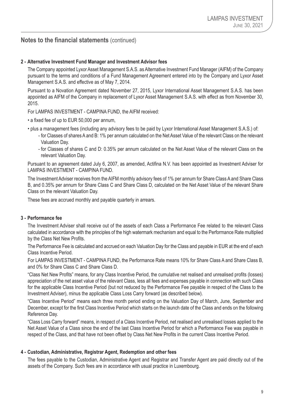## **Notes to the financial statements** (continued)

## **2 - Alternative Investment Fund Manager and Investment Advisor fees**

The Company appointed Lyxor Asset Management S.A.S. as Alternative Investment Fund Manager (AIFM) of the Company pursuant to the terms and conditions of a Fund Management Agreement entered into by the Company and Lyxor Asset Management S.A.S. and effective as of May 7, 2014.

Pursuant to a Novation Agreement dated November 27, 2015, Lyxor International Asset Management S.A.S. has been appointed as AIFM of the Company in replacement of Lyxor Asset Management S.A.S. with effect as from November 30, 2015.

For LAMPAS INVESTMENT - CAMPINA FUND, the AIFM received:

- a fixed fee of up to EUR 50,000 per annum,
- plus a management fees (including any advisory fees to be paid by Lyxor International Asset Management S.A.S.) of:
	- for Classes of shares A and B: 1% per annum calculated on the Net Asset Value of the relevant Class on the relevant Valuation Day.
	- for Classes of shares C and D: 0.35% per annum calculated on the Net Asset Value of the relevant Class on the relevant Valuation Day.

Pursuant to an agreement dated July 6, 2007, as amended, Actifina N.V. has been appointed as Investment Adviser for LAMPAS INVESTMENT - CAMPINA FUND.

The Investment Adviser receives from the AIFM monthly advisory fees of 1% per annum for Share Class A and Share Class B, and 0.35% per annum for Share Class C and Share Class D, calculated on the Net Asset Value of the relevant Share Class on the relevant Valuation Day.

These fees are accrued monthly and payable quarterly in arrears.

## **3 - Performance fee**

The Investment Adviser shall receive out of the assets of each Class a Performance Fee related to the relevant Class calculated in accordance with the principles of the high watermark mechanism and equal to the Performance Rate multiplied by the Class Net New Profits.

The Performance Fee is calculated and accrued on each Valuation Day for the Class and payable in EUR at the end of each Class Incentive Period.

For LAMPAS INVESTMENT - CAMPINA FUND, the Performance Rate means 10% for Share Class A and Share Class B, and 0% for Share Class C and Share Class D.

"Class Net New Profits" means, for any Class Incentive Period, the cumulative net realised and unrealised profits (losses) appreciation of the net asset value of the relevant Class, less all fees and expenses payable in connection with such Class for the applicable Class Incentive Period (but not reduced by the Performance Fee payable in respect of the Class to the Investment Adviser), minus the applicable Class Loss Carry forward (as described below).

"Class Incentive Period" means each three month period ending on the Valuation Day of March, June, September and December, except for the first Class Incentive Period which starts on the launch date of the Class and ends on the following Reference Day.

"Class Loss Carry forward" means, in respect of a Class Incentive Period, net realised and unrealised losses applied to the Net Asset Value of a Class since the end of the last Class Incentive Period for which a Performance Fee was payable in respect of the Class, and that have not been offset by Class Net New Profits in the current Class Incentive Period.

### **4 - Custodian, Administrative, Registrar Agent, Redemption and other fees**

The fees payable to the Custodian, Administrative Agent and Registrar and Transfer Agent are paid directly out of the assets of the Company. Such fees are in accordance with usual practice in Luxembourg.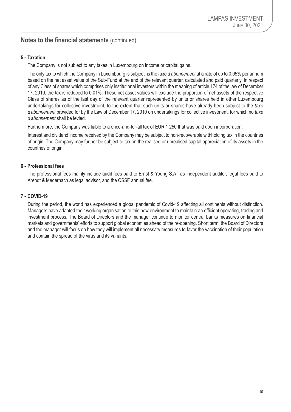## **Notes to the financial statements** (continued)

## **5 - Taxation**

The Company is not subject to any taxes in Luxembourg on income or capital gains.

The only tax to which the Company in Luxembourg is subject, is the *taxe d'abonnement* at a rate of up to 0.05% per annum based on the net asset value of the Sub-Fund at the end of the relevant quarter, calculated and paid quarterly. In respect of any Class of shares which comprises only institutional investors within the meaning of article 174 of the law of December 17, 2010, the tax is reduced to 0.01%. These net asset values will exclude the proportion of net assets of the respective Class of shares as of the last day of the relevant quarter represented by units or shares held in other Luxembourg undertakings for collective investment, to the extent that such units or shares have already been subject to the *taxe d'abonnement* provided for by the Law of December 17, 2010 on undertakings for collective investment, for which no *taxe d'abonnement* shall be levied.

Furthermore, the Company was liable to a once-and-for-all tax of EUR 1 250 that was paid upon incorporation.

Interest and dividend income received by the Company may be subject to non-recoverable withholding tax in the countries of origin. The Company may further be subject to tax on the realised or unrealised capital appreciation of its assets in the countries of origin.

## **6 - Professional fees**

The professional fees mainly include audit fees paid to Ernst & Young S.A., as independent auditor, legal fees paid to Arendt & Medernach as legal advisor, and the CSSF annual fee.

## **7 - COVID-19**

During the period, the world has experienced a global pandemic of Covid-19 affecting all continents without distinction. Managers have adapted their working organisation to this new environment to maintain an efficient operating, trading and investment process. The Board of Directors and the manager continue to monitor central banks measures on financial markets and governments' efforts to support global economies ahead of the re-opening. Short term, the Board of Directors and the manager will focus on how they will implement all necessary measures to favor the vaccination of their population and contain the spread of the virus and its variants.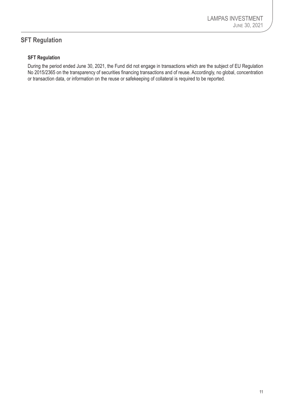# <span id="page-12-0"></span>**SFT Regulation**

## **SFT Regulation**

During the period ended June 30, 2021, the Fund did not engage in transactions which are the subject of EU Regulation No 2015/2365 on the transparency of securities financing transactions and of reuse. Accordingly, no global, concentration or transaction data, or information on the reuse or safekeeping of collateral is required to be reported.